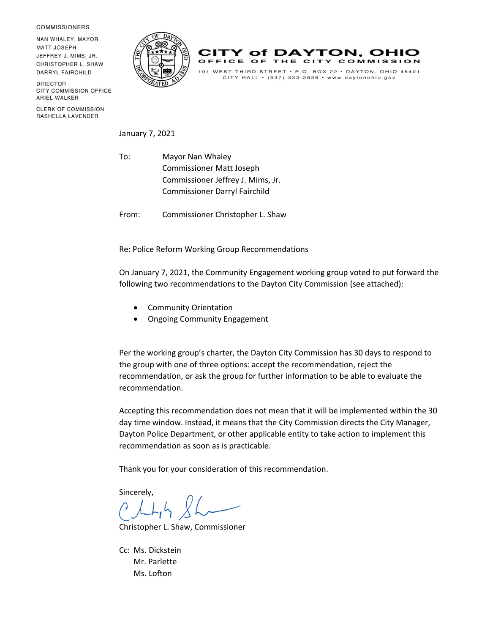**COMMISSIONERS** 

NAN WHALEY, MAYOR **MATT JOSEPH** JEFFREY J. MIMS. JR. CHRISTOPHER L. SHAW **DARRYL FAIRCHILD** 

**DIRECTOR** CITY COMMISSION OFFICE ARIEL WALKER

**CLERK OF COMMISSION** RASHELLA LAVENDER





January 7, 2021

To: Mayor Nan Whaley Commissioner Matt Joseph Commissioner Jeffrey J. Mims, Jr. Commissioner Darryl Fairchild

From: Commissioner Christopher L. Shaw

Re: Police Reform Working Group Recommendations

On January 7, 2021, the Community Engagement working group voted to put forward the following two recommendations to the Dayton City Commission (see attached):

- Community Orientation
- Ongoing Community Engagement

Per the working group's charter, the Dayton City Commission has 30 days to respond to the group with one of three options: accept the recommendation, reject the recommendation, or ask the group for further information to be able to evaluate the recommendation.

Accepting this recommendation does not mean that it will be implemented within the 30 day time window. Instead, it means that the City Commission directs the City Manager, Dayton Police Department, or other applicable entity to take action to implement this recommendation as soon as is practicable.

Thank you for your consideration of this recommendation.

Sincerely,

Christopher L. Shaw, Commissioner

Cc: Ms. Dickstein Mr. Parlette Ms. Lofton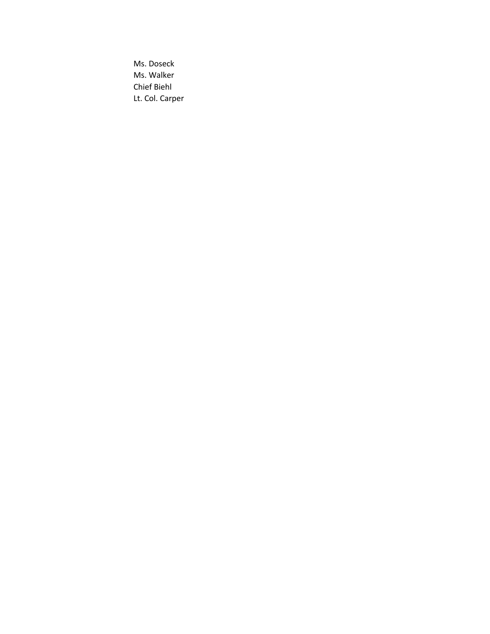Ms. Doseck Ms. Walker Chief Biehl Lt. Col. Carper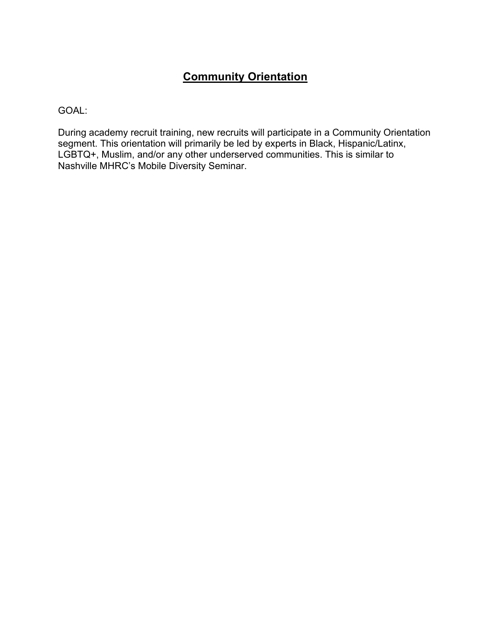# **Community Orientation**

GOAL:

During academy recruit training, new recruits will participate in a Community Orientation segment. This orientation will primarily be led by experts in Black, Hispanic/Latinx, LGBTQ+, Muslim, and/or any other underserved communities. This is similar to Nashville MHRC's Mobile Diversity Seminar.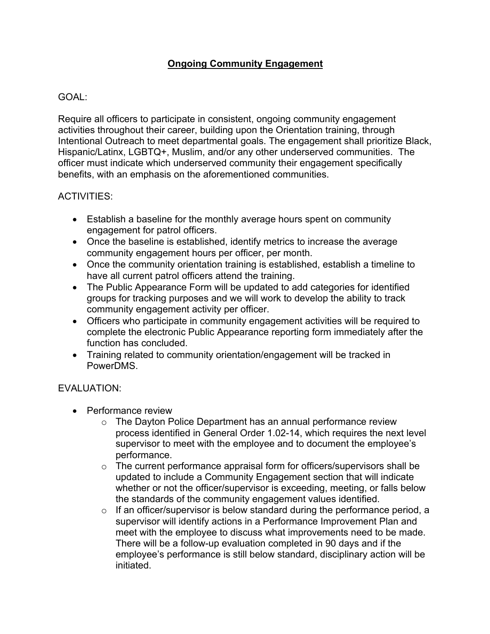## **Ongoing Community Engagement**

### GOAL:

Require all officers to participate in consistent, ongoing community engagement activities throughout their career, building upon the Orientation training, through Intentional Outreach to meet departmental goals. The engagement shall prioritize Black, Hispanic/Latinx, LGBTQ+, Muslim, and/or any other underserved communities. The officer must indicate which underserved community their engagement specifically benefits, with an emphasis on the aforementioned communities.

#### ACTIVITIES:

- Establish a baseline for the monthly average hours spent on community engagement for patrol officers.
- Once the baseline is established, identify metrics to increase the average community engagement hours per officer, per month.
- Once the community orientation training is established, establish a timeline to have all current patrol officers attend the training.
- The Public Appearance Form will be updated to add categories for identified groups for tracking purposes and we will work to develop the ability to track community engagement activity per officer.
- Officers who participate in community engagement activities will be required to complete the electronic Public Appearance reporting form immediately after the function has concluded.
- Training related to community orientation/engagement will be tracked in PowerDMS.

### EVALUATION:

- Performance review
	- o The Dayton Police Department has an annual performance review process identified in General Order 1.02-14, which requires the next level supervisor to meet with the employee and to document the employee's performance.
	- $\circ$  The current performance appraisal form for officers/supervisors shall be updated to include a Community Engagement section that will indicate whether or not the officer/supervisor is exceeding, meeting, or falls below the standards of the community engagement values identified.
	- o If an officer/supervisor is below standard during the performance period, a supervisor will identify actions in a Performance Improvement Plan and meet with the employee to discuss what improvements need to be made. There will be a follow-up evaluation completed in 90 days and if the employee's performance is still below standard, disciplinary action will be initiated.